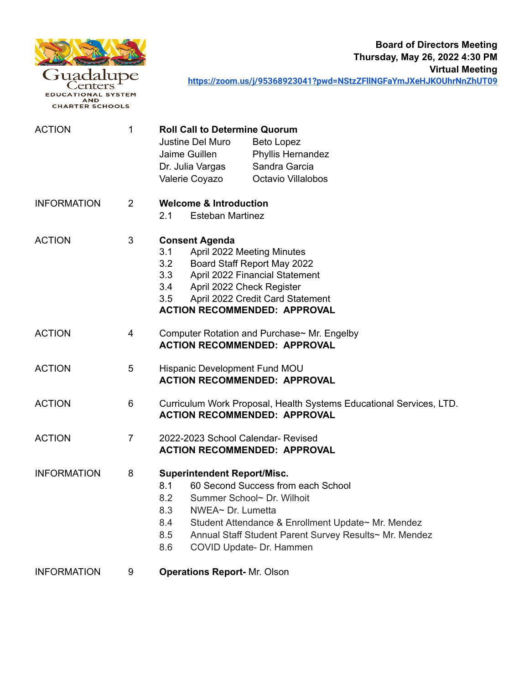

enters **EDUCATIONAL SYSTEM EXECUTED AND**<br>CHARTER SCHOOLS

**Board of Directors Meeting Thursday, May 26, 2022 4:30 PM Virtual Meeting <https://zoom.us/j/95368923041?pwd=NStzZFllNGFaYmJXeHJKOUhrNnZhUT09>**

ACTION 1 **Roll Call to Determine Quorum** Justine Del Muro Beto Lopez Jaime Guillen Phyllis Hernandez Dr. Julia Vargas Sandra Garcia Valerie Coyazo Octavio Villalobos INFORMATION 2 **Welcome & Introduction** 2.1 Esteban Martinez ACTION 3 **Consent Agenda** 3.1 April 2022 Meeting Minutes 3.2 Board Staff Report May 2022 3.3 April 2022 Financial Statement 3.4 April 2022 Check Register 3.5 April 2022 Credit Card Statement **ACTION RECOMMENDED: APPROVAL** ACTION 4 Computer Rotation and Purchase~ Mr. Engelby **ACTION RECOMMENDED: APPROVAL** ACTION 5 Hispanic Development Fund MOU **ACTION RECOMMENDED: APPROVAL** ACTION 6 Curriculum Work Proposal, Health Systems Educational Services, LTD. **ACTION RECOMMENDED: APPROVAL** ACTION 7 2022-2023 School Calendar- Revised **ACTION RECOMMENDED: APPROVAL** INFORMATION 8 **Superintendent Report/Misc.** 8.1 60 Second Success from each School 8.2 Summer School~ Dr. Wilhoit 8.3 NWEA~ Dr. Lumetta 8.4 Student Attendance & Enrollment Update~ Mr. Mendez 8.5 Annual Staff Student Parent Survey Results~ Mr. Mendez 8.6 COVID Update- Dr. Hammen INFORMATION 9 **Operations Report-** Mr. Olson